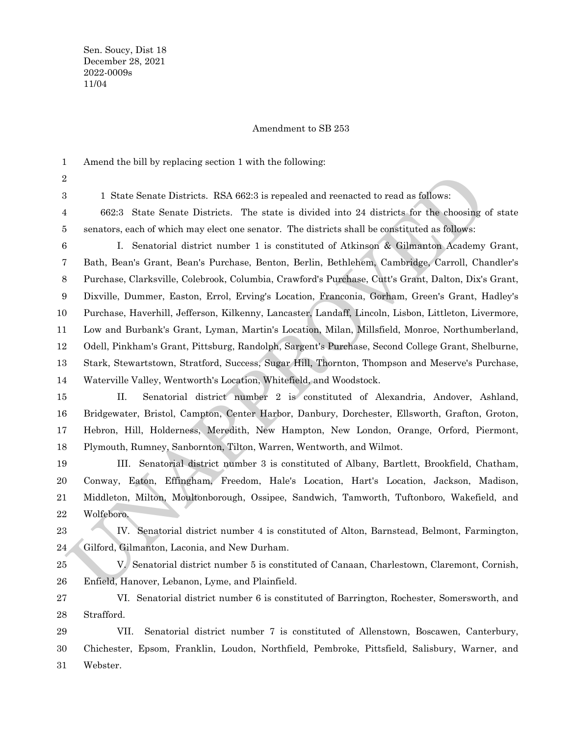1 2 3

## Amendment to SB 253

Amend the bill by replacing section 1 with the following: 1 State Senate Districts. RSA 662:3 is repealed and reenacted to read as follows: 662:3 State Senate Districts. The state is divided into 24 districts for the choosing of state

senators, each of which may elect one senator. The districts shall be constituted as follows: 4 5

1 State Sonate Districts. RSA 662:3 is repealed and recenacted to read as follows:<br>
1 State Scate State Districts. The state is divided into 24 districts for the choosing of standars, cach of which may elect one senator. I. Senatorial district number 1 is constituted of Atkinson & Gilmanton Academy Grant, Bath, Bean's Grant, Bean's Purchase, Benton, Berlin, Bethlehem, Cambridge, Carroll, Chandler's Purchase, Clarksville, Colebrook, Columbia, Crawford's Purchase, Cutt's Grant, Dalton, Dix's Grant, Dixville, Dummer, Easton, Errol, Erving's Location, Franconia, Gorham, Green's Grant, Hadley's Purchase, Haverhill, Jefferson, Kilkenny, Lancaster, Landaff, Lincoln, Lisbon, Littleton, Livermore, Low and Burbank's Grant, Lyman, Martin's Location, Milan, Millsfield, Monroe, Northumberland, Odell, Pinkham's Grant, Pittsburg, Randolph, Sargent's Purchase, Second College Grant, Shelburne, Stark, Stewartstown, Stratford, Success, Sugar Hill, Thornton, Thompson and Meserve's Purchase, Waterville Valley, Wentworth's Location, Whitefield, and Woodstock. 6 7 8 9 10 11 12 13 14

II. Senatorial district number 2 is constituted of Alexandria, Andover, Ashland, Bridgewater, Bristol, Campton, Center Harbor, Danbury, Dorchester, Ellsworth, Grafton, Groton, Hebron, Hill, Holderness, Meredith, New Hampton, New London, Orange, Orford, Piermont, Plymouth, Rumney, Sanbornton, Tilton, Warren, Wentworth, and Wilmot. 15 16 17 18

III. Senatorial district number 3 is constituted of Albany, Bartlett, Brookfield, Chatham, Conway, Eaton, Effingham, Freedom, Hale's Location, Hart's Location, Jackson, Madison, Middleton, Milton, Moultonborough, Ossipee, Sandwich, Tamworth, Tuftonboro, Wakefield, and Wolfeboro. 19 20 21 22

- IV. Senatorial district number 4 is constituted of Alton, Barnstead, Belmont, Farmington, Gilford, Gilmanton, Laconia, and New Durham. 23 24
- V. Senatorial district number 5 is constituted of Canaan, Charlestown, Claremont, Cornish, Enfield, Hanover, Lebanon, Lyme, and Plainfield. 25 26

 Strafford. VI. Senatorial district number 6 is constituted of Barrington, Rochester, Somersworth, and 27 28

VII. Senatorial district number 7 is constituted of Allenstown, Boscawen, Canterbury, Chichester, Epsom, Franklin, Loudon, Northfield, Pembroke, Pittsfield, Salisbury, Warner, and Webster. 29 30 31